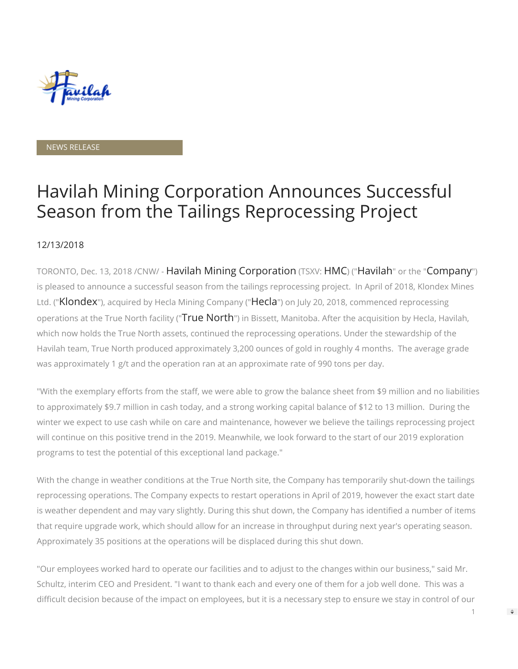

#### NEWS RELEASE

# Havilah Mining Corporation Announces Successful Season from the Tailings Reprocessing Project

#### 12/13/2018

TORONTO, Dec. 13, 2018 /CNW/ - Havilah Mining Corporation (TSXV: HMC) ("Havilah" or the "Company") is pleased to announce a successful season from the tailings reprocessing project. In April of 2018, Klondex Mines Ltd. ("Klondex"), acquired by Hecla Mining Company ("Hecla") on July 20, 2018, commenced reprocessing operations at the True North facility ("True North") in Bissett, Manitoba. After the acquisition by Hecla, Havilah, which now holds the True North assets, continued the reprocessing operations. Under the stewardship of the Havilah team, True North produced approximately 3,200 ounces of gold in roughly 4 months. The average grade was approximately 1 g/t and the operation ran at an approximate rate of 990 tons per day.

"With the exemplary efforts from the staff, we were able to grow the balance sheet from \$9 million and no liabilities to approximately \$9.7 million in cash today, and a strong working capital balance of \$12 to 13 million. During the winter we expect to use cash while on care and maintenance, however we believe the tailings reprocessing project will continue on this positive trend in the 2019. Meanwhile, we look forward to the start of our 2019 exploration programs to test the potential of this exceptional land package."

With the change in weather conditions at the True North site, the Company has temporarily shut-down the tailings reprocessing operations. The Company expects to restart operations in April of 2019, however the exact start date is weather dependent and may vary slightly. During this shut down, the Company has identified a number of items that require upgrade work, which should allow for an increase in throughput during next year's operating season. Approximately 35 positions at the operations will be displaced during this shut down.

"Our employees worked hard to operate our facilities and to adjust to the changes within our business," said Mr. Schultz, interim CEO and President. "I want to thank each and every one of them for a job well done. This was a difficult decision because of the impact on employees, but it is a necessary step to ensure we stay in control of our

1

 $\Rightarrow$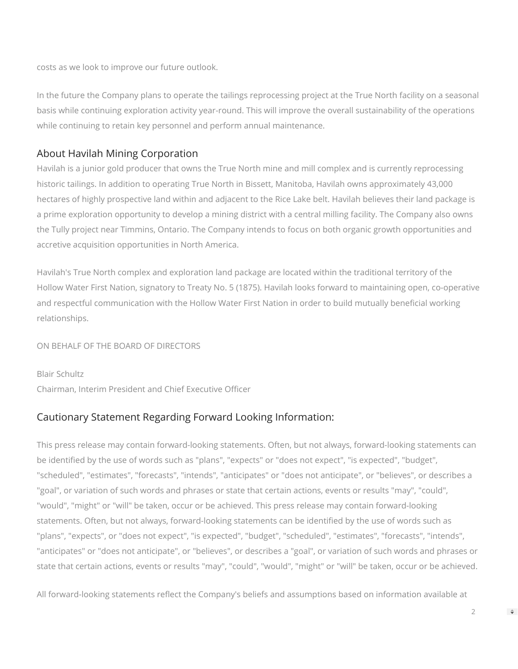costs as we look to improve our future outlook.

In the future the Company plans to operate the tailings reprocessing project at the True North facility on a seasonal basis while continuing exploration activity year-round. This will improve the overall sustainability of the operations while continuing to retain key personnel and perform annual maintenance.

### About Havilah Mining Corporation

Havilah is a junior gold producer that owns the True North mine and mill complex and is currently reprocessing historic tailings. In addition to operating True North in Bissett, Manitoba, Havilah owns approximately 43,000 hectares of highly prospective land within and adjacent to the Rice Lake belt. Havilah believes their land package is a prime exploration opportunity to develop a mining district with a central milling facility. The Company also owns the Tully project near Timmins, Ontario. The Company intends to focus on both organic growth opportunities and accretive acquisition opportunities in North America.

Havilah's True North complex and exploration land package are located within the traditional territory of the Hollow Water First Nation, signatory to Treaty No. 5 (1875). Havilah looks forward to maintaining open, co-operative and respectful communication with the Hollow Water First Nation in order to build mutually beneficial working relationships.

ON BEHALF OF THE BOARD OF DIRECTORS

Blair Schultz Chairman, Interim President and Chief Executive Officer

## Cautionary Statement Regarding Forward Looking Information:

This press release may contain forward-looking statements. Often, but not always, forward-looking statements can be identified by the use of words such as "plans", "expects" or "does not expect", "is expected", "budget", "scheduled", "estimates", "forecasts", "intends", "anticipates" or "does not anticipate", or "believes", or describes a "goal", or variation of such words and phrases or state that certain actions, events or results "may", "could", "would", "might" or "will" be taken, occur or be achieved. This press release may contain forward-looking statements. Often, but not always, forward-looking statements can be identified by the use of words such as "plans", "expects", or "does not expect", "is expected", "budget", "scheduled", "estimates", "forecasts", "intends", "anticipates" or "does not anticipate", or "believes", or describes a "goal", or variation of such words and phrases or state that certain actions, events or results "may", "could", "would", "might" or "will" be taken, occur or be achieved.

All forward-looking statements reflect the Company's beliefs and assumptions based on information available at

 $\mathfrak{D}$ 

 $\Rightarrow$